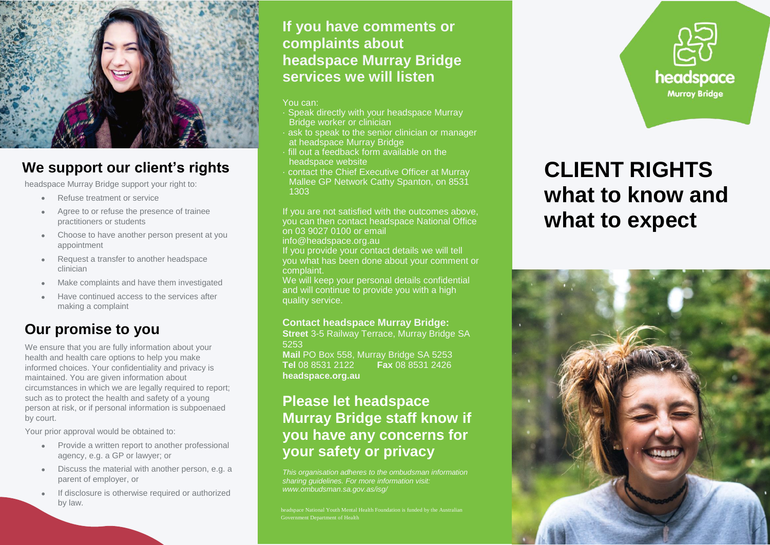

## **We support our client's rights**

headspace Murray Bridge support your right to:

- Refuse treatment or service
- Agree to or refuse the presence of trainee practitioners or students
- Choose to have another person present at you appointment
- Request a transfer to another headspace clinician
- Make complaints and have them investigated
- Have continued access to the services after making a complaint

## **Our promise to you**

We ensure that you are fully information about your health and health care options to help you make informed choices. Your confidentiality and privacy is maintained. You are given information about circumstances in which we are legally required to report; such as to protect the health and safety of a young person at risk, or if personal information is subpoenaed by court.

Your prior approval would be obtained to:

- Provide a written report to another professional agency, e.g. a GP or lawyer; or
- Discuss the material with another person, e.g. a parent of employer, or
- If disclosure is otherwise required or authorized by law.

### **If you have comments or complaints about headspace Murray Bridge services we will listen**

### You can:

- · Speak directly with your headspace Murray Bridge worker or clinician
- ask to speak to the senior clinician or manager at headspace Murray Bridge
- · fill out a feedback form available on the headspace website
- · contact the Chief Executive Officer at Murray Mallee GP Network Cathy Spanton, on 8531 1303

If you are not satisfied with the outcomes above, you can then contact headspace National Office on 03 9027 0100 or email

info@headspace.org.au

If you provide your contact details we will tell you what has been done about your comment or complaint.

We will keep your personal details confidential and will continue to provide you with a high quality service.

### **Contact headspace Murray Bridge:**

**Street** 3-5 Railway Terrace, Murray Bridge SA 5253 **Mail** PO Box 558, Murray Bridge SA 5253 **Tel** 08 8531 2122 **Fax** 08 8531 2426 **headspace.org.au**

## **Please let headspace Murray Bridge staff know if you have any concerns for your safety or privacy**

*This organisation adheres to the ombudsman information sharing guidelines. For more information visit: www.ombudsman.sa.gov.as/isg/*

Government Department of Health



# **CLIENT RIGHTS what to know and what to expect**